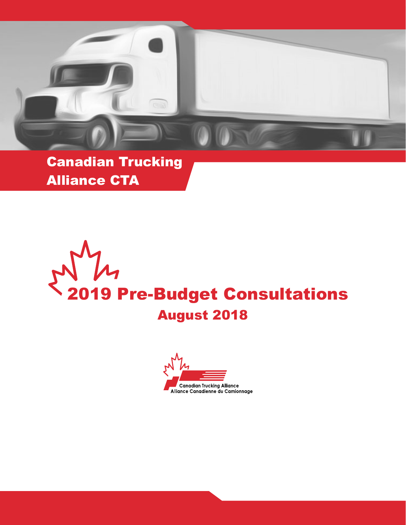

Canadian Trucking Alliance CTA

2019 Pre-Budget Consultations August 2018

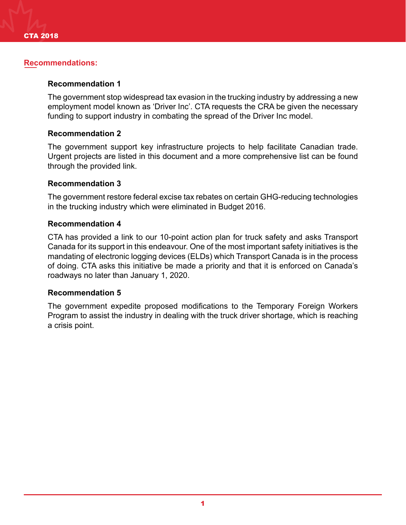## **Recommendations:**

## **Recommendation 1**

The government stop widespread tax evasion in the trucking industry by addressing a new employment model known as 'Driver Inc'. CTA requests the CRA be given the necessary funding to support industry in combating the spread of the Driver Inc model.

### **Recommendation 2**

The government support key infrastructure projects to help facilitate Canadian trade. Urgent projects are listed in this document and a more comprehensive list can be found through the provided link.

### **Recommendation 3**

The government restore federal excise tax rebates on certain GHG-reducing technologies in the trucking industry which were eliminated in Budget 2016.

### **Recommendation 4**

CTA has provided a link to our 10-point action plan for truck safety and asks Transport Canada for its support in this endeavour. One of the most important safety initiatives is the mandating of electronic logging devices (ELDs) which Transport Canada is in the process of doing. CTA asks this initiative be made a priority and that it is enforced on Canada's roadways no later than January 1, 2020.

#### **Recommendation 5**

The government expedite proposed modifications to the Temporary Foreign Workers Program to assist the industry in dealing with the truck driver shortage, which is reaching a crisis point.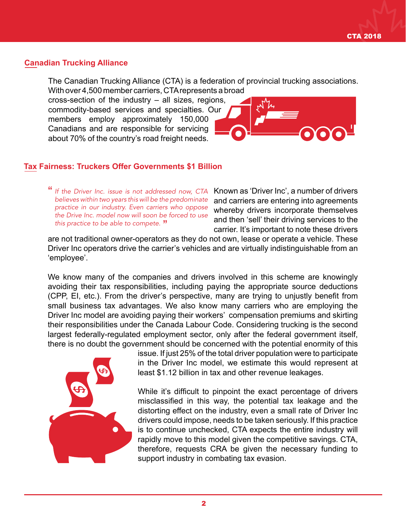# **Canadian Trucking Alliance**

The Canadian Trucking Alliance (CTA) is a federation of provincial trucking associations. With over 4,500 member carriers, CTA represents a broad

cross-section of the industry – all sizes, regions, commodity-based services and specialties. Our members employ approximately 150,000 Canadians and are responsible for servicing about 70% of the country's road freight needs.



# **Tax Fairness: Truckers Offer Governments \$1 Billion**

" *If the Driver Inc. issue is not addressed now, CTA*  " *this practice to be able to compete.believes within two years this will be the predominate practice in our industry. Even carriers who oppose the Drive Inc. model now will soon be forced to use* 

Known as 'Driver Inc', a number of drivers and carriers are entering into agreements whereby drivers incorporate themselves and then 'sell' their driving services to the carrier. It's important to note these drivers

are not traditional owner-operators as they do not own, lease or operate a vehicle. These Driver Inc operators drive the carrier's vehicles and are virtually indistinguishable from an 'employee'.

We know many of the companies and drivers involved in this scheme are knowingly avoiding their tax responsibilities, including paying the appropriate source deductions (CPP, EI, etc.). From the driver's perspective, many are trying to unjustly benefit from small business tax advantages. We also know many carriers who are employing the Driver Inc model are avoiding paying their workers' compensation premiums and skirting their responsibilities under the Canada Labour Code. Considering trucking is the second largest federally-regulated employment sector, only after the federal government itself, there is no doubt the government should be concerned with the potential enormity of this



issue. If just 25% of the total driver population were to participate in the Driver Inc model, we estimate this would represent at least \$1.12 billion in tax and other revenue leakages.

While it's difficult to pinpoint the exact percentage of drivers misclassified in this way, the potential tax leakage and the distorting effect on the industry, even a small rate of Driver Inc drivers could impose, needs to be taken seriously. If this practice is to continue unchecked, CTA expects the entire industry will rapidly move to this model given the competitive savings. CTA, therefore, requests CRA be given the necessary funding to support industry in combating tax evasion.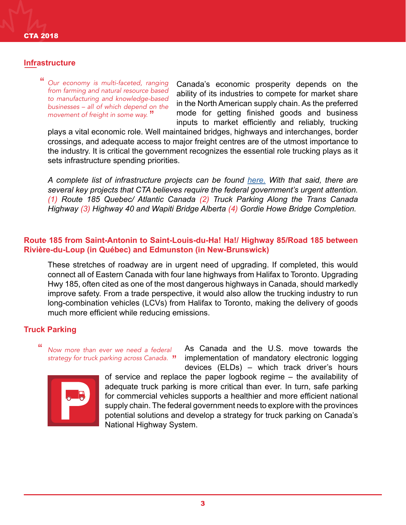## **Infrastructure**

" " *movement of freight in some way. Our economy is multi-faceted, ranging from farming and natural resource based to manufacturing and knowledge-based businesses – all of which depend on the* 

Canada's economic prosperity depends on the ability of its industries to compete for market share in the North American supply chain. As the preferred mode for getting finished goods and business inputs to market efficiently and reliably, trucking

plays a vital economic role. Well maintained bridges, highways and interchanges, border crossings, and adequate access to major freight centres are of the utmost importance to the industry. It is critical the government recognizes the essential role trucking plays as it sets infrastructure spending priorities.

*A complete list of infrastructure projects can be found [here.](http://cantruck.ca/cta-infrastructure-priorities-2018-2019/) With that said, there are several key projects that CTA believes require the federal government's urgent attention. (1) Route 185 Quebec/ Atlantic Canada (2) Truck Parking Along the Trans Canada Highway (3) Highway 40 and Wapiti Bridge Alberta (4) Gordie Howe Bridge Completion.* 

## **Route 185 from Saint-Antonin to Saint-Louis-du-Ha! Ha!/ Highway 85/Road 185 between Rivière-du-Loup (in Québec) and Edmunston (in New-Brunswick)**

These stretches of roadway are in urgent need of upgrading. If completed, this would connect all of Eastern Canada with four lane highways from Halifax to Toronto. Upgrading Hwy 185, often cited as one of the most dangerous highways in Canada, should markedly improve safety. From a trade perspective, it would also allow the trucking industry to run long-combination vehicles (LCVs) from Halifax to Toronto, making the delivery of goods much more efficient while reducing emissions.

# **Truck Parking**

" " *strategy for truck parking across Canada. Now more than ever we need a federal* 

devices (ELDs) – which track driver's hours of service and replace the paper logbook regime – the availability of adequate truck parking is more critical than ever. In turn, safe parking for commercial vehicles supports a healthier and more efficient national supply chain. The federal government needs to explore with the provinces potential solutions and develop a strategy for truck parking on Canada's National Highway System.

As Canada and the U.S. move towards the implementation of mandatory electronic logging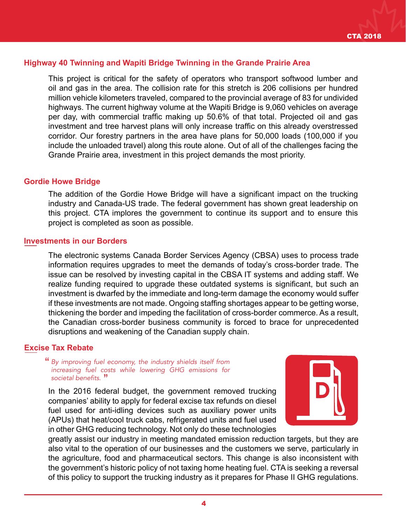# **Highway 40 Twinning and Wapiti Bridge Twinning in the Grande Prairie Area**

This project is critical for the safety of operators who transport softwood lumber and oil and gas in the area. The collision rate for this stretch is 206 collisions per hundred million vehicle kilometers traveled, compared to the provincial average of 83 for undivided highways. The current highway volume at the Wapiti Bridge is 9,060 vehicles on average per day, with commercial traffic making up 50.6% of that total. Projected oil and gas investment and tree harvest plans will only increase traffic on this already overstressed corridor. Our forestry partners in the area have plans for 50,000 loads (100,000 if you include the unloaded travel) along this route alone. Out of all of the challenges facing the Grande Prairie area, investment in this project demands the most priority.

#### **Gordie Howe Bridge**

The addition of the Gordie Howe Bridge will have a significant impact on the trucking industry and Canada-US trade. The federal government has shown great leadership on this project. CTA implores the government to continue its support and to ensure this project is completed as soon as possible.

#### **Investments in our Borders**

The electronic systems Canada Border Services Agency (CBSA) uses to process trade information requires upgrades to meet the demands of today's cross-border trade. The issue can be resolved by investing capital in the CBSA IT systems and adding staff. We realize funding required to upgrade these outdated systems is significant, but such an investment is dwarfed by the immediate and long-term damage the economy would suffer if these investments are not made. Ongoing staffing shortages appear to be getting worse, thickening the border and impeding the facilitation of cross-border commerce. As a result, the Canadian cross-border business community is forced to brace for unprecedented disruptions and weakening of the Canadian supply chain.

## **Excise Tax Rebate**

" *By improving fuel economy, the industry shields itself from*  societal benefits." *increasing fuel costs while lowering GHG emissions for* 

In the 2016 federal budget, the government removed trucking companies' ability to apply for federal excise tax refunds on diesel fuel used for anti-idling devices such as auxiliary power units (APUs) that heat/cool truck cabs, refrigerated units and fuel used in other GHG reducing technology. Not only do these technologies



greatly assist our industry in meeting mandated emission reduction targets, but they are also vital to the operation of our businesses and the customers we serve, particularly in the agriculture, food and pharmaceutical sectors. This change is also inconsistent with the government's historic policy of not taxing home heating fuel. CTA is seeking a reversal of this policy to support the trucking industry as it prepares for Phase II GHG regulations.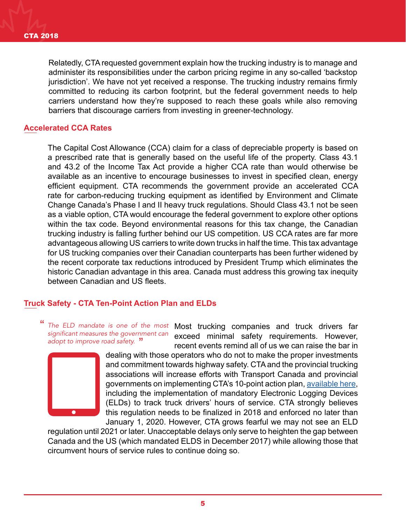Relatedly, CTA requested government explain how the trucking industry is to manage and administer its responsibilities under the carbon pricing regime in any so-called 'backstop jurisdiction'. We have not yet received a response. The trucking industry remains firmly committed to reducing its carbon footprint, but the federal government needs to help carriers understand how they're supposed to reach these goals while also removing barriers that discourage carriers from investing in greener-technology.

# **Accelerated CCA Rates**

The Capital Cost Allowance (CCA) claim for a class of depreciable property is based on a prescribed rate that is generally based on the useful life of the property. Class 43.1 and 43.2 of the Income Tax Act provide a higher CCA rate than would otherwise be available as an incentive to encourage businesses to invest in specified clean, energy efficient equipment. CTA recommends the government provide an accelerated CCA rate for carbon-reducing trucking equipment as identified by Environment and Climate Change Canada's Phase I and II heavy truck regulations. Should Class 43.1 not be seen as a viable option, CTA would encourage the federal government to explore other options within the tax code. Beyond environmental reasons for this tax change, the Canadian trucking industry is falling further behind our US competition. US CCA rates are far more advantageous allowing US carriers to write down trucks in half the time. This tax advantage for US trucking companies over their Canadian counterparts has been further widened by the recent corporate tax reductions introduced by President Trump which eliminates the historic Canadian advantage in this area. Canada must address this growing tax inequity between Canadian and US fleets.

# **Truck Safety - CTA Ten-Point Action Plan and ELDs**

The ELD mandate is one of the most Most trucking companies and truck drivers far exceed minimal safety requirements. However, recent events remind all of us we can raise the bar in " " *adopt to improve road safety.* significant measures the government can



dealing with those operators who do not to make the proper investments and commitment towards highway safety. CTA and the provincial trucking associations will increase efforts with Transport Canada and provincial governments on implementing CTA's 10-point action plan, [available here,](file:/Users/erica.giansante/OneDrive%20-%20Ontario%20Trucking%20Association/Erica/CTA%2010%20point%20Action%20Plan/CTA%2010%20Point%20Action%20Plan%20Truck%20Safety.pdf) including the implementation of mandatory Electronic Logging Devices (ELDs) to track truck drivers' hours of service. CTA strongly believes this regulation needs to be finalized in 2018 and enforced no later than January 1, 2020. However, CTA grows fearful we may not see an ELD

regulation until 2021 or later. Unacceptable delays only serve to heighten the gap between Canada and the US (which mandated ELDS in December 2017) while allowing those that circumvent hours of service rules to continue doing so.